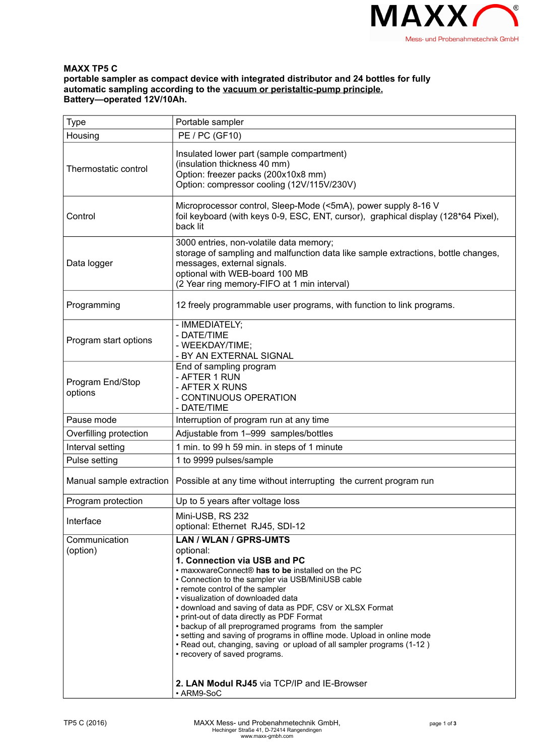

## **MAXX TP5 C portable sampler as compact device with integrated distributor and 24 bottles for fully automatic sampling according to the vacuum or peristaltic-pump principle. Battery—operated 12V/10Ah.**

| Type                        | Portable sampler                                                                                                                                                                                                                                                                                                                                                                                                                                                                                                                                                                                                                                                     |
|-----------------------------|----------------------------------------------------------------------------------------------------------------------------------------------------------------------------------------------------------------------------------------------------------------------------------------------------------------------------------------------------------------------------------------------------------------------------------------------------------------------------------------------------------------------------------------------------------------------------------------------------------------------------------------------------------------------|
| Housing                     | PE / PC (GF10)                                                                                                                                                                                                                                                                                                                                                                                                                                                                                                                                                                                                                                                       |
| Thermostatic control        | Insulated lower part (sample compartment)<br>(insulation thickness 40 mm)<br>Option: freezer packs (200x10x8 mm)<br>Option: compressor cooling (12V/115V/230V)                                                                                                                                                                                                                                                                                                                                                                                                                                                                                                       |
| Control                     | Microprocessor control, Sleep-Mode (<5mA), power supply 8-16 V<br>foil keyboard (with keys 0-9, ESC, ENT, cursor), graphical display (128*64 Pixel),<br>back lit                                                                                                                                                                                                                                                                                                                                                                                                                                                                                                     |
| Data logger                 | 3000 entries, non-volatile data memory;<br>storage of sampling and malfunction data like sample extractions, bottle changes,<br>messages, external signals.<br>optional with WEB-board 100 MB<br>(2 Year ring memory-FIFO at 1 min interval)                                                                                                                                                                                                                                                                                                                                                                                                                         |
| Programming                 | 12 freely programmable user programs, with function to link programs.                                                                                                                                                                                                                                                                                                                                                                                                                                                                                                                                                                                                |
| Program start options       | - IMMEDIATELY;<br>- DATE/TIME<br>- WEEKDAY/TIME;<br>- BY AN EXTERNAL SIGNAL                                                                                                                                                                                                                                                                                                                                                                                                                                                                                                                                                                                          |
| Program End/Stop<br>options | End of sampling program<br>- AFTER 1 RUN<br>- AFTER X RUNS<br>- CONTINUOUS OPERATION<br>- DATE/TIME                                                                                                                                                                                                                                                                                                                                                                                                                                                                                                                                                                  |
| Pause mode                  | Interruption of program run at any time                                                                                                                                                                                                                                                                                                                                                                                                                                                                                                                                                                                                                              |
| Overfilling protection      | Adjustable from 1-999 samples/bottles                                                                                                                                                                                                                                                                                                                                                                                                                                                                                                                                                                                                                                |
| Interval setting            | 1 min. to 99 h 59 min. in steps of 1 minute                                                                                                                                                                                                                                                                                                                                                                                                                                                                                                                                                                                                                          |
| Pulse setting               | 1 to 9999 pulses/sample                                                                                                                                                                                                                                                                                                                                                                                                                                                                                                                                                                                                                                              |
| Manual sample extraction    | Possible at any time without interrupting the current program run                                                                                                                                                                                                                                                                                                                                                                                                                                                                                                                                                                                                    |
| Program protection          | Up to 5 years after voltage loss                                                                                                                                                                                                                                                                                                                                                                                                                                                                                                                                                                                                                                     |
| Interface                   | Mini-USB, RS 232<br>optional: Ethernet RJ45, SDI-12                                                                                                                                                                                                                                                                                                                                                                                                                                                                                                                                                                                                                  |
| Communication<br>(option)   | <b>LAN / WLAN / GPRS-UMTS</b><br>optional:<br>1. Connection via USB and PC<br>. maxxwareConnect® has to be installed on the PC<br>• Connection to the sampler via USB/MiniUSB cable<br>• remote control of the sampler<br>· visualization of downloaded data<br>• download and saving of data as PDF, CSV or XLSX Format<br>• print-out of data directly as PDF Format<br>• backup of all preprogramed programs from the sampler<br>• setting and saving of programs in offline mode. Upload in online mode<br>• Read out, changing, saving or upload of all sampler programs (1-12)<br>• recovery of saved programs.<br>2. LAN Modul RJ45 via TCP/IP and IE-Browser |
|                             | • ARM9-SoC                                                                                                                                                                                                                                                                                                                                                                                                                                                                                                                                                                                                                                                           |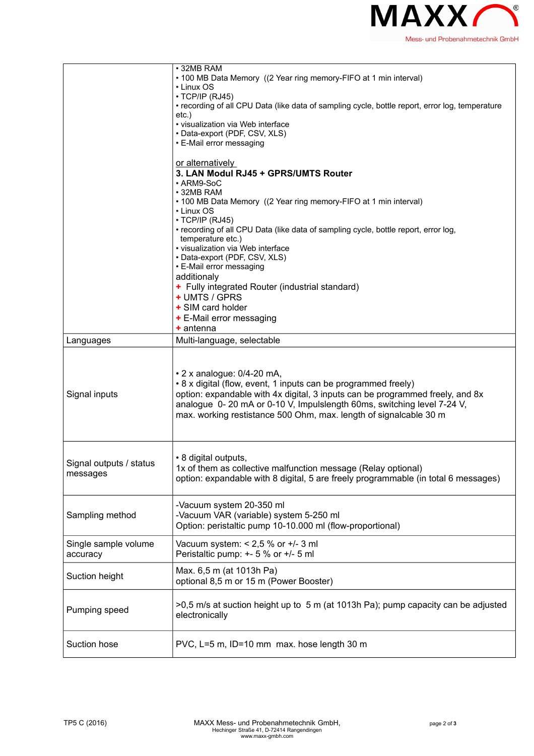

|                         | • 32MB RAM<br>• 100 MB Data Memory ((2 Year ring memory-FIFO at 1 min interval)                                          |
|-------------------------|--------------------------------------------------------------------------------------------------------------------------|
|                         | • Linux OS                                                                                                               |
|                         | $\cdot$ TCP/IP (RJ45)<br>• recording of all CPU Data (like data of sampling cycle, bottle report, error log, temperature |
|                         | $etc.$ )                                                                                                                 |
|                         | • visualization via Web interface                                                                                        |
|                         | • Data-export (PDF, CSV, XLS)<br>• E-Mail error messaging                                                                |
|                         |                                                                                                                          |
|                         | or alternatively                                                                                                         |
|                         | 3. LAN Modul RJ45 + GPRS/UMTS Router                                                                                     |
|                         | • ARM9-SoC<br>• 32MB RAM                                                                                                 |
|                         | • 100 MB Data Memory ((2 Year ring memory-FIFO at 1 min interval)                                                        |
|                         | • Linux OS                                                                                                               |
|                         | $\cdot$ TCP/IP (RJ45)<br>• recording of all CPU Data (like data of sampling cycle, bottle report, error log,             |
|                         | temperature etc.)                                                                                                        |
|                         | · visualization via Web interface                                                                                        |
|                         | • Data-export (PDF, CSV, XLS)<br>• E-Mail error messaging                                                                |
|                         | additionaly                                                                                                              |
|                         | + Fully integrated Router (industrial standard)                                                                          |
|                         | + UMTS / GPRS                                                                                                            |
|                         | + SIM card holder<br>+ E-Mail error messaging                                                                            |
|                         | + antenna                                                                                                                |
| Languages               | Multi-language, selectable                                                                                               |
|                         |                                                                                                                          |
|                         | • 2 x analogue: 0/4-20 mA,<br>• 8 x digital (flow, event, 1 inputs can be programmed freely)                             |
| Signal inputs           | option: expandable with 4x digital, 3 inputs can be programmed freely, and 8x                                            |
|                         | analogue 0-20 mA or 0-10 V, Impulslength 60ms, switching level 7-24 V,                                                   |
|                         | max. working restistance 500 Ohm, max. length of signalcable 30 m                                                        |
|                         |                                                                                                                          |
|                         |                                                                                                                          |
| Signal outputs / status | • 8 digital outputs,<br>1x of them as collective malfunction message (Relay optional)                                    |
| messages                | option: expandable with 8 digital, 5 are freely programmable (in total 6 messages)                                       |
|                         |                                                                                                                          |
|                         | -Vacuum system 20-350 ml                                                                                                 |
| Sampling method         | -Vacuum VAR (variable) system 5-250 ml                                                                                   |
|                         | Option: peristaltic pump 10-10.000 ml (flow-proportional)                                                                |
| Single sample volume    | Vacuum system: $< 2.5$ % or $+/- 3$ ml                                                                                   |
| accuracy                | Peristaltic pump: +- 5 % or +/- 5 ml                                                                                     |
|                         | Max. 6,5 m (at 1013h Pa)                                                                                                 |
| Suction height          | optional 8,5 m or 15 m (Power Booster)                                                                                   |
|                         |                                                                                                                          |
| Pumping speed           | >0,5 m/s at suction height up to 5 m (at 1013h Pa); pump capacity can be adjusted<br>electronically                      |
|                         |                                                                                                                          |
| Suction hose            | PVC, L=5 m, ID=10 mm max. hose length 30 m                                                                               |
|                         |                                                                                                                          |